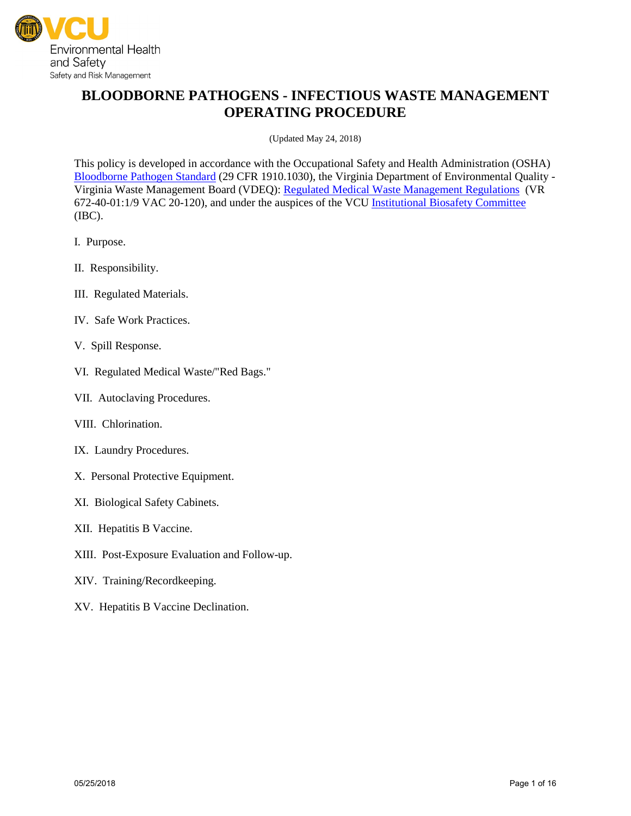

# **BLOODBORNE PATHOGENS - INFECTIOUS WASTE MANAGEMENT OPERATING PROCEDURE**

(Updated May 24, 2018)

This policy is developed in accordance with the Occupational Safety and Health Administration (OSHA) [Bloodborne Pathogen Standard](http://www.osha.gov/pls/oshaweb/owadisp.show_document?p_table=STANDARDS&p_id=10051) (29 CFR 1910.1030), the Virginia Department of Environmental Quality - Virginia Waste Management Board (VDEQ): [Regulated Medical Waste Management Regulations](https://law.lis.virginia.gov/admincode/title9/agency20/chapter120/) (VR 672-40-01:1/9 VAC 20-120), and under the auspices of the VC[U Institutional Biosafety Committee](https://research.vcu.edu/ibc/index.htm) (IBC).

- I. Purpose.
- II. Responsibility.
- III. Regulated Materials.
- IV. Safe Work Practices.
- V. Spill Response.
- VI. Regulated Medical Waste/"Red Bags."
- VII. Autoclaving Procedures.
- VIII. Chlorination.
- IX. Laundry Procedures.
- X. Personal Protective Equipment.
- XI. Biological Safety Cabinets.
- XII. Hepatitis B Vaccine.
- XIII. Post-Exposure Evaluation and Follow-up.
- XIV. Training/Recordkeeping.
- XV. Hepatitis B Vaccine Declination.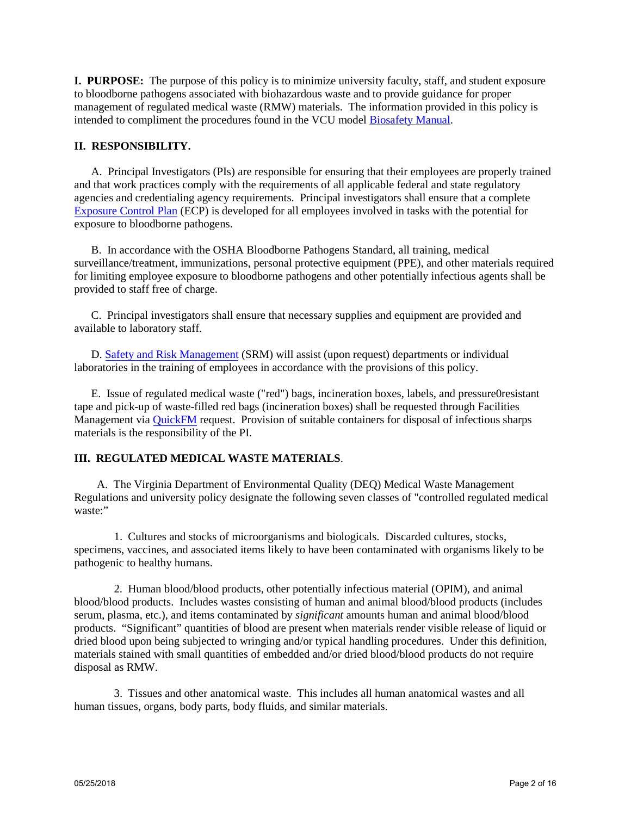**I. PURPOSE:** The purpose of this policy is to minimize university faculty, staff, and student exposure to bloodborne pathogens associated with biohazardous waste and to provide guidance for proper management of regulated medical waste (RMW) materials. The information provided in this policy is intended to compliment the procedures found in the VCU model [Biosafety Manual.](https://srm.vcu.edu/media/safety-amp-risk-management/assets/biological-safety/Biosafety%20Manual.pdf)

# **II. RESPONSIBILITY.**

A. Principal Investigators (PIs) are responsible for ensuring that their employees are properly trained and that work practices comply with the requirements of all applicable federal and state regulatory agencies and credentialing agency requirements. Principal investigators shall ensure that a complete [Exposure Control Plan](https://srm.vcu.edu/media/safety-amp-risk-management/assets/biological-safety/ECP%20032618.pdf) (ECP) is developed for all employees involved in tasks with the potential for exposure to bloodborne pathogens.

B. In accordance with the OSHA Bloodborne Pathogens Standard, all training, medical surveillance/treatment, immunizations, personal protective equipment (PPE), and other materials required for limiting employee exposure to bloodborne pathogens and other potentially infectious agents shall be provided to staff free of charge.

C. Principal investigators shall ensure that necessary supplies and equipment are provided and available to laboratory staff.

D. [Safety and Risk Management](https://srm.vcu.edu/) (SRM) will assist (upon request) departments or individual laboratories in the training of employees in accordance with the provisions of this policy.

E. Issue of regulated medical waste ("red") bags, incineration boxes, labels, and pressure0resistant tape and pick-up of waste-filled red bags (incineration boxes) shall be requested through Facilities Management via [QuickFM](https://quikfm.vcu.edu/) request. Provision of suitable containers for disposal of infectious sharps materials is the responsibility of the PI.

# **III. REGULATED MEDICAL WASTE MATERIALS**.

A. The Virginia Department of Environmental Quality (DEQ) Medical Waste Management Regulations and university policy designate the following seven classes of "controlled regulated medical waste:"

1. Cultures and stocks of microorganisms and biologicals. Discarded cultures, stocks, specimens, vaccines, and associated items likely to have been contaminated with organisms likely to be pathogenic to healthy humans.

2. Human blood/blood products, other potentially infectious material (OPIM), and animal blood/blood products. Includes wastes consisting of human and animal blood/blood products (includes serum, plasma, etc.), and items contaminated by *significant* amounts human and animal blood/blood products. "Significant" quantities of blood are present when materials render visible release of liquid or dried blood upon being subjected to wringing and/or typical handling procedures. Under this definition, materials stained with small quantities of embedded and/or dried blood/blood products do not require disposal as RMW.

3. Tissues and other anatomical waste. This includes all human anatomical wastes and all human tissues, organs, body parts, body fluids, and similar materials.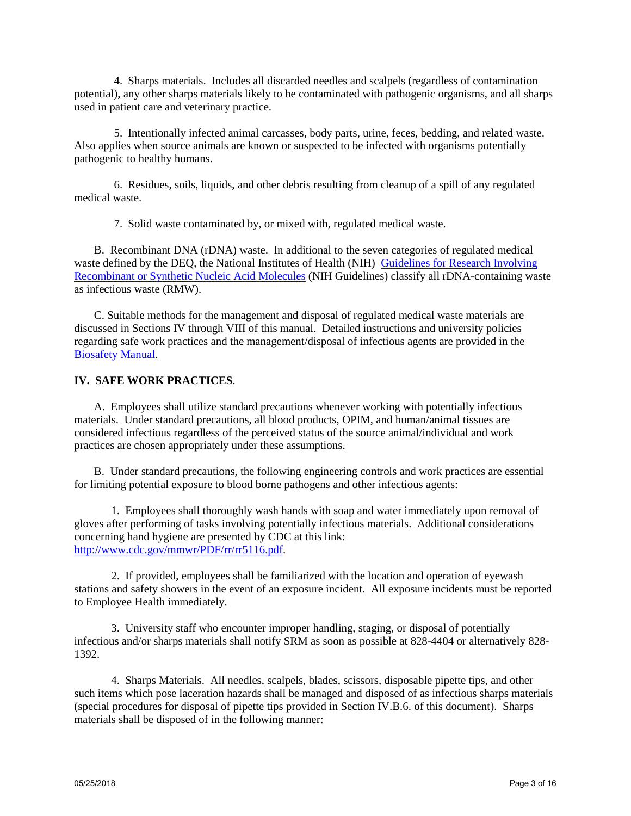4. Sharps materials. Includes all discarded needles and scalpels (regardless of contamination potential), any other sharps materials likely to be contaminated with pathogenic organisms, and all sharps used in patient care and veterinary practice.

5. Intentionally infected animal carcasses, body parts, urine, feces, bedding, and related waste. Also applies when source animals are known or suspected to be infected with organisms potentially pathogenic to healthy humans.

6. Residues, soils, liquids, and other debris resulting from cleanup of a spill of any regulated medical waste.

7. Solid waste contaminated by, or mixed with, regulated medical waste.

B. Recombinant DNA (rDNA) waste. In additional to the seven categories of regulated medical waste defined by the DEO, the National Institutes of Health (NIH) Guidelines for Research Involving [Recombinant or Synthetic Nucleic Acid Molecules](https://osp.od.nih.gov/wp-content/uploads/NIH_Guidelines.html) (NIH Guidelines) classify all rDNA-containing waste as infectious waste (RMW).

C. Suitable methods for the management and disposal of regulated medical waste materials are discussed in Sections IV through VIII of this manual. Detailed instructions and university policies regarding safe work practices and the management/disposal of infectious agents are provided in the [Biosafety Manual.](https://srm.vcu.edu/media/safety-amp-risk-management/assets/biological-safety/Biosafety%20Manual.pdf)

## **IV. SAFE WORK PRACTICES**.

A. Employees shall utilize standard precautions whenever working with potentially infectious materials. Under standard precautions, all blood products, OPIM, and human/animal tissues are considered infectious regardless of the perceived status of the source animal/individual and work practices are chosen appropriately under these assumptions.

B. Under standard precautions, the following engineering controls and work practices are essential for limiting potential exposure to blood borne pathogens and other infectious agents:

1. Employees shall thoroughly wash hands with soap and water immediately upon removal of gloves after performing of tasks involving potentially infectious materials. Additional considerations concerning hand hygiene are presented by CDC at this link: [http://www.cdc.gov/mmwr/PDF/rr/rr5116.pdf.](http://www.cdc.gov/mmwr/PDF/rr/rr5116.pdf)

2. If provided, employees shall be familiarized with the location and operation of eyewash stations and safety showers in the event of an exposure incident. All exposure incidents must be reported to Employee Health immediately.

3. University staff who encounter improper handling, staging, or disposal of potentially infectious and/or sharps materials shall notify SRM as soon as possible at 828-4404 or alternatively 828- 1392.

4. Sharps Materials. All needles, scalpels, blades, scissors, disposable pipette tips, and other such items which pose laceration hazards shall be managed and disposed of as infectious sharps materials (special procedures for disposal of pipette tips provided in Section IV.B.6. of this document). Sharps materials shall be disposed of in the following manner: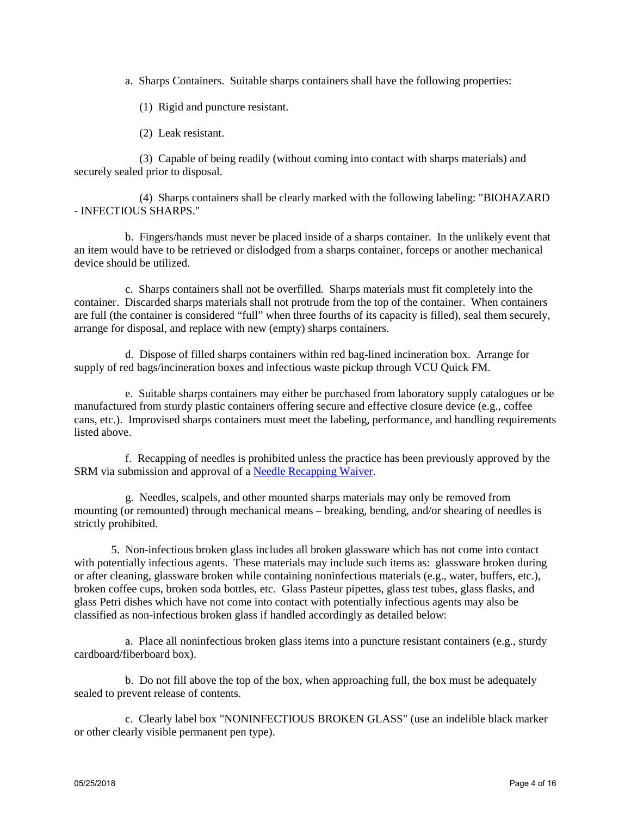a. Sharps Containers. Suitable sharps containers shall have the following properties:

(1) Rigid and puncture resistant.

(2) Leak resistant.

 (3) Capable of being readily (without coming into contact with sharps materials) and securely sealed prior to disposal.

 (4) Sharps containers shall be clearly marked with the following labeling: "BIOHAZARD - INFECTIOUS SHARPS."

 b. Fingers/hands must never be placed inside of a sharps container. In the unlikely event that an item would have to be retrieved or dislodged from a sharps container, forceps or another mechanical device should be utilized.

 c. Sharps containers shall not be overfilled. Sharps materials must fit completely into the container. Discarded sharps materials shall not protrude from the top of the container. When containers are full (the container is considered "full" when three fourths of its capacity is filled), seal them securely, arrange for disposal, and replace with new (empty) sharps containers.

 d. Dispose of filled sharps containers within red bag-lined incineration box. Arrange for supply of red bags/incineration boxes and infectious waste pickup through VCU Quick FM.

 e. Suitable sharps containers may either be purchased from laboratory supply catalogues or be manufactured from sturdy plastic containers offering secure and effective closure device (e.g., coffee cans, etc.). Improvised sharps containers must meet the labeling, performance, and handling requirements listed above.

 f. Recapping of needles is prohibited unless the practice has been previously approved by the SRM via submission and approval of a [Needle Recapping Waiver.](https://srm.vcu.edu/i-want-to-know-about/biological-safety/)

 g. Needles, scalpels, and other mounted sharps materials may only be removed from mounting (or remounted) through mechanical means – breaking, bending, and/or shearing of needles is strictly prohibited.

 5. Non-infectious broken glass includes all broken glassware which has not come into contact with potentially infectious agents. These materials may include such items as: glassware broken during or after cleaning, glassware broken while containing noninfectious materials (e.g., water, buffers, etc.), broken coffee cups, broken soda bottles, etc. Glass Pasteur pipettes, glass test tubes, glass flasks, and glass Petri dishes which have not come into contact with potentially infectious agents may also be classified as non-infectious broken glass if handled accordingly as detailed below:

 a. Place all noninfectious broken glass items into a puncture resistant containers (e.g., sturdy cardboard/fiberboard box).

 b. Do not fill above the top of the box, when approaching full, the box must be adequately sealed to prevent release of contents.

 c. Clearly label box "NONINFECTIOUS BROKEN GLASS" (use an indelible black marker or other clearly visible permanent pen type).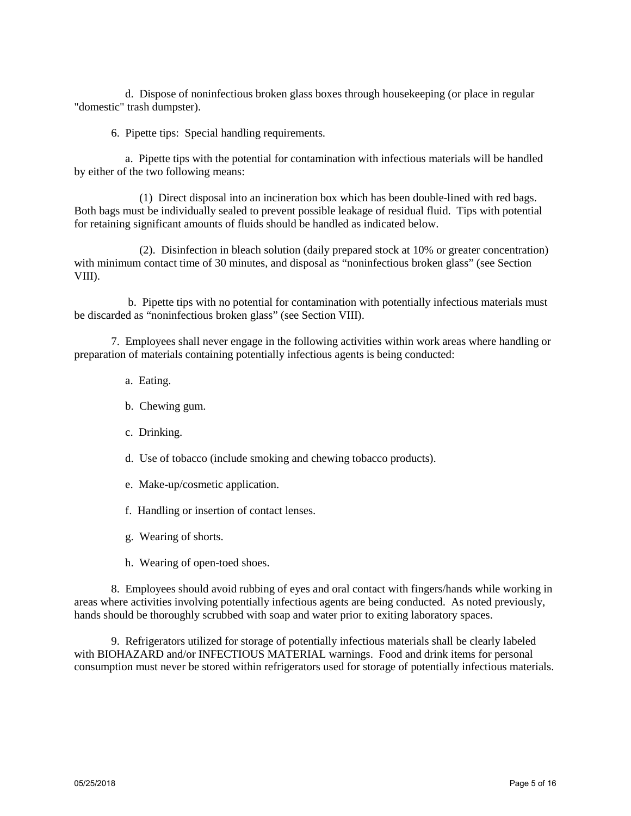d. Dispose of noninfectious broken glass boxes through housekeeping (or place in regular "domestic" trash dumpster).

6. Pipette tips: Special handling requirements.

 a. Pipette tips with the potential for contamination with infectious materials will be handled by either of the two following means:

 (1) Direct disposal into an incineration box which has been double-lined with red bags. Both bags must be individually sealed to prevent possible leakage of residual fluid. Tips with potential for retaining significant amounts of fluids should be handled as indicated below.

 (2). Disinfection in bleach solution (daily prepared stock at 10% or greater concentration) with minimum contact time of 30 minutes, and disposal as "noninfectious broken glass" (see Section VIII).

 b. Pipette tips with no potential for contamination with potentially infectious materials must be discarded as "noninfectious broken glass" (see Section VIII).

 7. Employees shall never engage in the following activities within work areas where handling or preparation of materials containing potentially infectious agents is being conducted:

- a. Eating.
- b. Chewing gum.
- c. Drinking.
- d. Use of tobacco (include smoking and chewing tobacco products).
- e. Make-up/cosmetic application.
- f. Handling or insertion of contact lenses.
- g. Wearing of shorts.
- h. Wearing of open-toed shoes.

 8. Employees should avoid rubbing of eyes and oral contact with fingers/hands while working in areas where activities involving potentially infectious agents are being conducted. As noted previously, hands should be thoroughly scrubbed with soap and water prior to exiting laboratory spaces.

 9. Refrigerators utilized for storage of potentially infectious materials shall be clearly labeled with BIOHAZARD and/or INFECTIOUS MATERIAL warnings. Food and drink items for personal consumption must never be stored within refrigerators used for storage of potentially infectious materials.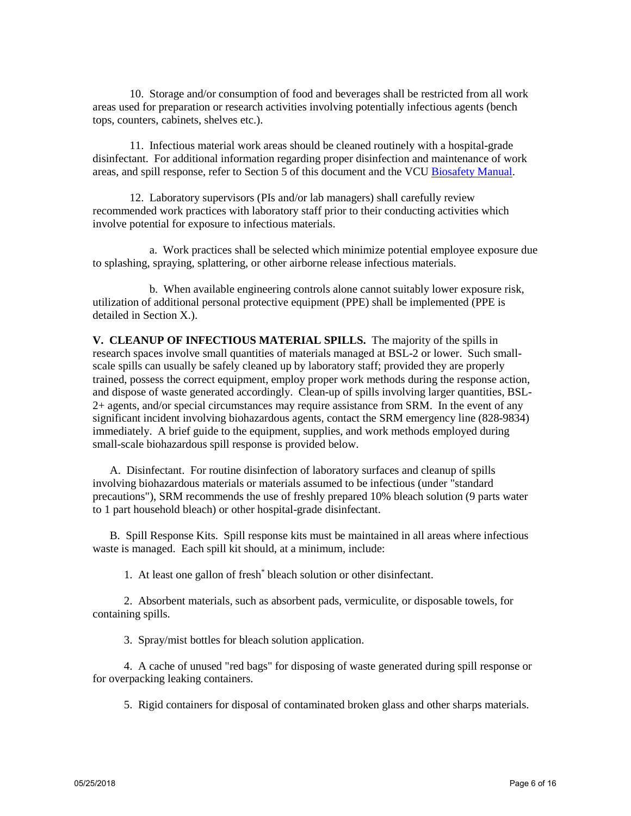10. Storage and/or consumption of food and beverages shall be restricted from all work areas used for preparation or research activities involving potentially infectious agents (bench tops, counters, cabinets, shelves etc.).

 11. Infectious material work areas should be cleaned routinely with a hospital-grade disinfectant. For additional information regarding proper disinfection and maintenance of work areas, and spill response, refer to Section 5 of this document and the VC[U Biosafety Manual.](https://srm.vcu.edu/media/safety-amp-risk-management/assets/biological-safety/Biosafety%20Manual.pdf)

 12. Laboratory supervisors (PIs and/or lab managers) shall carefully review recommended work practices with laboratory staff prior to their conducting activities which involve potential for exposure to infectious materials.

 a. Work practices shall be selected which minimize potential employee exposure due to splashing, spraying, splattering, or other airborne release infectious materials.

 b. When available engineering controls alone cannot suitably lower exposure risk, utilization of additional personal protective equipment (PPE) shall be implemented (PPE is detailed in Section X.).

**V. CLEANUP OF INFECTIOUS MATERIAL SPILLS.** The majority of the spills in research spaces involve small quantities of materials managed at BSL-2 or lower. Such smallscale spills can usually be safely cleaned up by laboratory staff; provided they are properly trained, possess the correct equipment, employ proper work methods during the response action, and dispose of waste generated accordingly. Clean-up of spills involving larger quantities, BSL-2+ agents, and/or special circumstances may require assistance from SRM. In the event of any significant incident involving biohazardous agents, contact the SRM emergency line (828-9834) immediately. A brief guide to the equipment, supplies, and work methods employed during small-scale biohazardous spill response is provided below.

 A. Disinfectant. For routine disinfection of laboratory surfaces and cleanup of spills involving biohazardous materials or materials assumed to be infectious (under "standard precautions"), SRM recommends the use of freshly prepared 10% bleach solution (9 parts water to 1 part household bleach) or other hospital-grade disinfectant.

 B. Spill Response Kits. Spill response kits must be maintained in all areas where infectious waste is managed. Each spill kit should, at a minimum, include:

1. At least one gallon of fresh\* bleach solution or other disinfectant.

 2. Absorbent materials, such as absorbent pads, vermiculite, or disposable towels, for containing spills.

3. Spray/mist bottles for bleach solution application.

 4. A cache of unused "red bags" for disposing of waste generated during spill response or for overpacking leaking containers.

5. Rigid containers for disposal of contaminated broken glass and other sharps materials.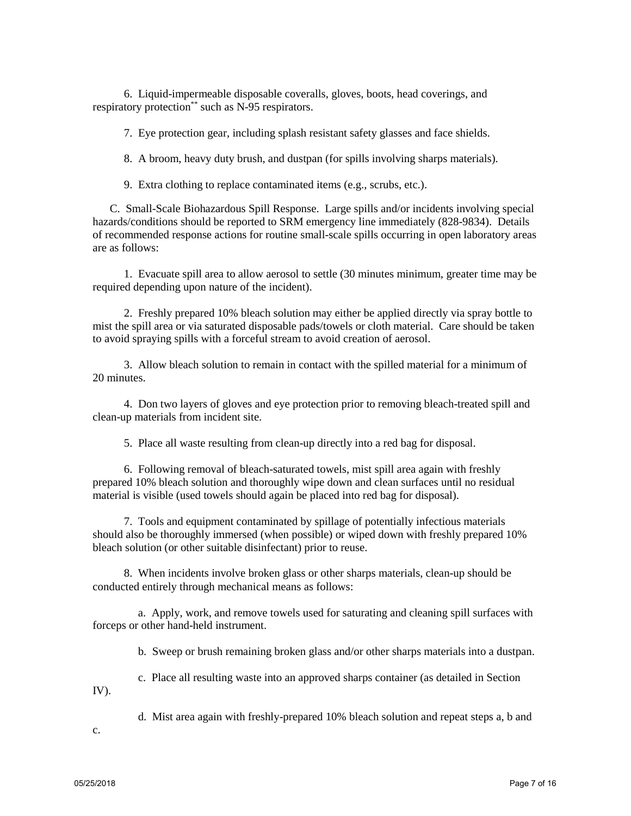6. Liquid-impermeable disposable coveralls, gloves, boots, head coverings, and respiratory protection\*\* such as N-95 respirators.

7. Eye protection gear, including splash resistant safety glasses and face shields.

8. A broom, heavy duty brush, and dustpan (for spills involving sharps materials).

9. Extra clothing to replace contaminated items (e.g., scrubs, etc.).

 C. Small-Scale Biohazardous Spill Response. Large spills and/or incidents involving special hazards/conditions should be reported to SRM emergency line immediately (828-9834). Details of recommended response actions for routine small-scale spills occurring in open laboratory areas are as follows:

 1. Evacuate spill area to allow aerosol to settle (30 minutes minimum, greater time may be required depending upon nature of the incident).

 2. Freshly prepared 10% bleach solution may either be applied directly via spray bottle to mist the spill area or via saturated disposable pads/towels or cloth material. Care should be taken to avoid spraying spills with a forceful stream to avoid creation of aerosol.

 3. Allow bleach solution to remain in contact with the spilled material for a minimum of 20 minutes.

 4. Don two layers of gloves and eye protection prior to removing bleach-treated spill and clean-up materials from incident site.

5. Place all waste resulting from clean-up directly into a red bag for disposal.

 6. Following removal of bleach-saturated towels, mist spill area again with freshly prepared 10% bleach solution and thoroughly wipe down and clean surfaces until no residual material is visible (used towels should again be placed into red bag for disposal).

 7. Tools and equipment contaminated by spillage of potentially infectious materials should also be thoroughly immersed (when possible) or wiped down with freshly prepared 10% bleach solution (or other suitable disinfectant) prior to reuse.

 8. When incidents involve broken glass or other sharps materials, clean-up should be conducted entirely through mechanical means as follows:

 a. Apply, work, and remove towels used for saturating and cleaning spill surfaces with forceps or other hand-held instrument.

b. Sweep or brush remaining broken glass and/or other sharps materials into a dustpan.

c. Place all resulting waste into an approved sharps container (as detailed in Section

IV).

d. Mist area again with freshly-prepared 10% bleach solution and repeat steps a, b and

c.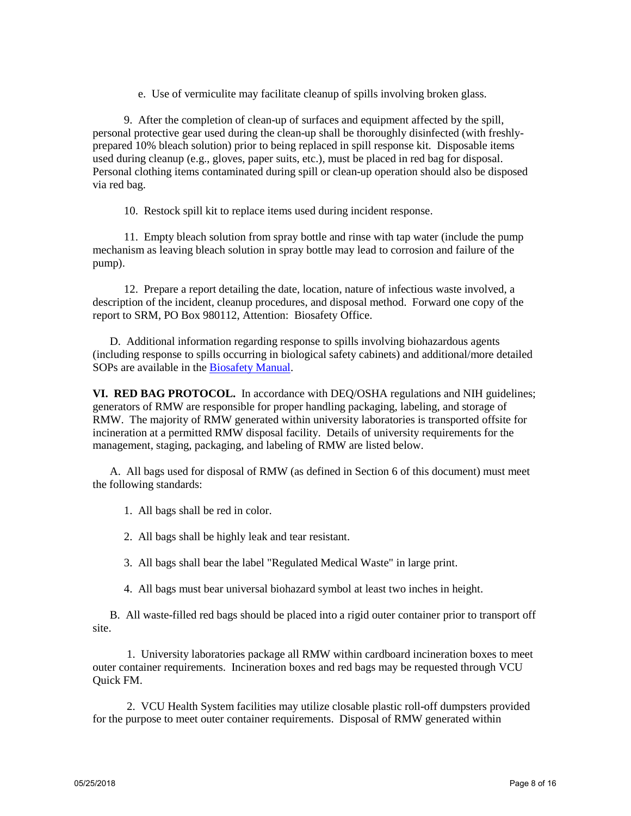e. Use of vermiculite may facilitate cleanup of spills involving broken glass.

 9. After the completion of clean-up of surfaces and equipment affected by the spill, personal protective gear used during the clean-up shall be thoroughly disinfected (with freshlyprepared 10% bleach solution) prior to being replaced in spill response kit. Disposable items used during cleanup (e.g., gloves, paper suits, etc.), must be placed in red bag for disposal. Personal clothing items contaminated during spill or clean-up operation should also be disposed via red bag.

10. Restock spill kit to replace items used during incident response.

 11. Empty bleach solution from spray bottle and rinse with tap water (include the pump mechanism as leaving bleach solution in spray bottle may lead to corrosion and failure of the pump).

 12. Prepare a report detailing the date, location, nature of infectious waste involved, a description of the incident, cleanup procedures, and disposal method. Forward one copy of the report to SRM, PO Box 980112, Attention: Biosafety Office.

 D. Additional information regarding response to spills involving biohazardous agents (including response to spills occurring in biological safety cabinets) and additional/more detailed SOPs are available in the [Biosafety Manual.](https://srm.vcu.edu/media/safety-amp-risk-management/assets/biological-safety/Biosafety%20Manual.pdf)

**VI. RED BAG PROTOCOL.** In accordance with DEQ/OSHA regulations and NIH guidelines; generators of RMW are responsible for proper handling packaging, labeling, and storage of RMW. The majority of RMW generated within university laboratories is transported offsite for incineration at a permitted RMW disposal facility. Details of university requirements for the management, staging, packaging, and labeling of RMW are listed below.

 A. All bags used for disposal of RMW (as defined in Section 6 of this document) must meet the following standards:

1. All bags shall be red in color.

2. All bags shall be highly leak and tear resistant.

3. All bags shall bear the label "Regulated Medical Waste" in large print.

4. All bags must bear universal biohazard symbol at least two inches in height.

 B. All waste-filled red bags should be placed into a rigid outer container prior to transport off site.

 1. University laboratories package all RMW within cardboard incineration boxes to meet outer container requirements. Incineration boxes and red bags may be requested through VCU Quick FM.

 2. VCU Health System facilities may utilize closable plastic roll-off dumpsters provided for the purpose to meet outer container requirements. Disposal of RMW generated within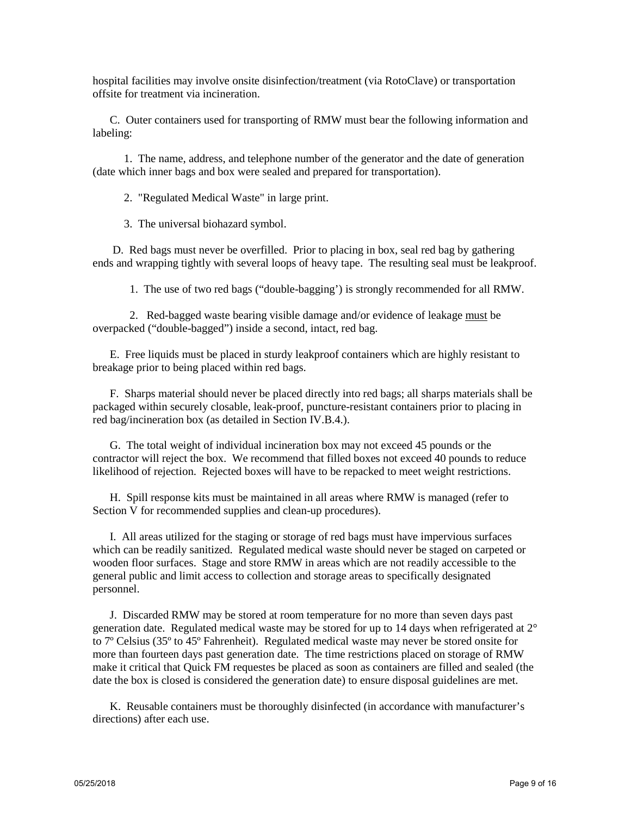hospital facilities may involve onsite disinfection/treatment (via RotoClave) or transportation offsite for treatment via incineration.

 C. Outer containers used for transporting of RMW must bear the following information and labeling:

 1. The name, address, and telephone number of the generator and the date of generation (date which inner bags and box were sealed and prepared for transportation).

2. "Regulated Medical Waste" in large print.

3. The universal biohazard symbol.

 D. Red bags must never be overfilled. Prior to placing in box, seal red bag by gathering ends and wrapping tightly with several loops of heavy tape. The resulting seal must be leakproof.

1. The use of two red bags ("double-bagging') is strongly recommended for all RMW.

 2. Red-bagged waste bearing visible damage and/or evidence of leakage must be overpacked ("double-bagged") inside a second, intact, red bag.

 E. Free liquids must be placed in sturdy leakproof containers which are highly resistant to breakage prior to being placed within red bags.

 F. Sharps material should never be placed directly into red bags; all sharps materials shall be packaged within securely closable, leak-proof, puncture-resistant containers prior to placing in red bag/incineration box (as detailed in Section IV.B.4.).

 G. The total weight of individual incineration box may not exceed 45 pounds or the contractor will reject the box. We recommend that filled boxes not exceed 40 pounds to reduce likelihood of rejection. Rejected boxes will have to be repacked to meet weight restrictions.

 H. Spill response kits must be maintained in all areas where RMW is managed (refer to Section V for recommended supplies and clean-up procedures).

 I. All areas utilized for the staging or storage of red bags must have impervious surfaces which can be readily sanitized. Regulated medical waste should never be staged on carpeted or wooden floor surfaces. Stage and store RMW in areas which are not readily accessible to the general public and limit access to collection and storage areas to specifically designated personnel.

 J. Discarded RMW may be stored at room temperature for no more than seven days past generation date. Regulated medical waste may be stored for up to 14 days when refrigerated at 2° to 7º Celsius (35º to 45º Fahrenheit). Regulated medical waste may never be stored onsite for more than fourteen days past generation date. The time restrictions placed on storage of RMW make it critical that Quick FM requestes be placed as soon as containers are filled and sealed (the date the box is closed is considered the generation date) to ensure disposal guidelines are met.

 K. Reusable containers must be thoroughly disinfected (in accordance with manufacturer's directions) after each use.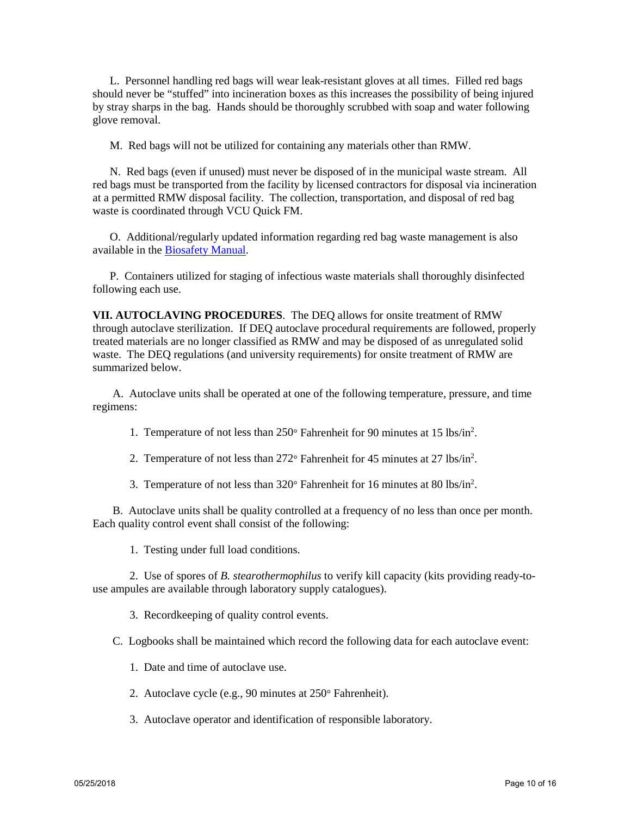L. Personnel handling red bags will wear leak-resistant gloves at all times. Filled red bags should never be "stuffed" into incineration boxes as this increases the possibility of being injured by stray sharps in the bag. Hands should be thoroughly scrubbed with soap and water following glove removal.

M. Red bags will not be utilized for containing any materials other than RMW.

 N. Red bags (even if unused) must never be disposed of in the municipal waste stream. All red bags must be transported from the facility by licensed contractors for disposal via incineration at a permitted RMW disposal facility. The collection, transportation, and disposal of red bag waste is coordinated through VCU Quick FM.

 O. Additional/regularly updated information regarding red bag waste management is also available in the [Biosafety Manual.](https://srm.vcu.edu/media/safety-amp-risk-management/assets/biological-safety/Biosafety%20Manual.pdf)

 P. Containers utilized for staging of infectious waste materials shall thoroughly disinfected following each use.

**VII. AUTOCLAVING PROCEDURES**. The DEQ allows for onsite treatment of RMW through autoclave sterilization. If DEQ autoclave procedural requirements are followed, properly treated materials are no longer classified as RMW and may be disposed of as unregulated solid waste. The DEQ regulations (and university requirements) for onsite treatment of RMW are summarized below.

 A. Autoclave units shall be operated at one of the following temperature, pressure, and time regimens:

1. Temperature of not less than 250° Fahrenheit for 90 minutes at 15 lbs/in2 .

- 2. Temperature of not less than 272° Fahrenheit for 45 minutes at 27 lbs/in<sup>2</sup>.
- 3. Temperature of not less than 320° Fahrenheit for 16 minutes at 80 lbs/in2 .

 B. Autoclave units shall be quality controlled at a frequency of no less than once per month. Each quality control event shall consist of the following:

1. Testing under full load conditions.

 2. Use of spores of *B. stearothermophilus* to verify kill capacity (kits providing ready-touse ampules are available through laboratory supply catalogues).

3. Recordkeeping of quality control events.

C. Logbooks shall be maintained which record the following data for each autoclave event:

- 1. Date and time of autoclave use.
- 2. Autoclave cycle (e.g., 90 minutes at 250° Fahrenheit).
- 3. Autoclave operator and identification of responsible laboratory.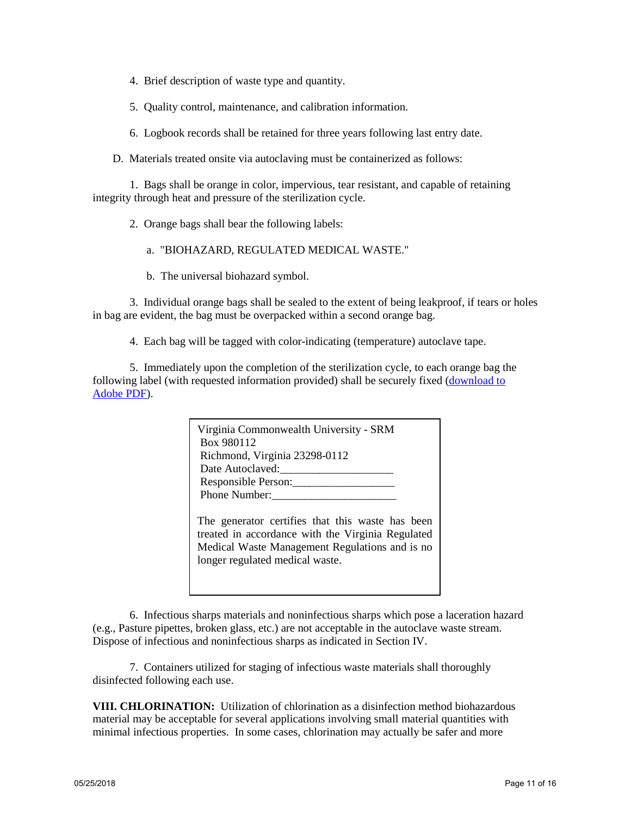- 4. Brief description of waste type and quantity.
- 5. Quality control, maintenance, and calibration information.
- 6. Logbook records shall be retained for three years following last entry date.
- D. Materials treated onsite via autoclaving must be containerized as follows:

 1. Bags shall be orange in color, impervious, tear resistant, and capable of retaining integrity through heat and pressure of the sterilization cycle.

- 2. Orange bags shall bear the following labels:
	- a. "BIOHAZARD, REGULATED MEDICAL WASTE."
	- b. The universal biohazard symbol.

 3. Individual orange bags shall be sealed to the extent of being leakproof, if tears or holes in bag are evident, the bag must be overpacked within a second orange bag.

4. Each bag will be tagged with color-indicating (temperature) autoclave tape.

 5. Immediately upon the completion of the sterilization cycle, to each orange bag the following label (with requested information provided) shall be securely fixed [\(download to](http://views.vcu.edu/oehs/chemical/biosafe/autoclave.PDF)  [Adobe PDF\)](http://views.vcu.edu/oehs/chemical/biosafe/autoclave.PDF).

| Virginia Commonwealth University - SRM<br>Box 980112                                                  |  |
|-------------------------------------------------------------------------------------------------------|--|
| Richmond, Virginia 23298-0112                                                                         |  |
|                                                                                                       |  |
| Responsible Person:                                                                                   |  |
| Phone Number:                                                                                         |  |
| The generator certifies that this waste has been<br>treated in accordance with the Virginia Regulated |  |

treated in accordance with the Virginia Regulated Medical Waste Management Regulations and is no longer regulated medical waste.

 6. Infectious sharps materials and noninfectious sharps which pose a laceration hazard (e.g., Pasture pipettes, broken glass, etc.) are not acceptable in the autoclave waste stream. Dispose of infectious and noninfectious sharps as indicated in Section IV.

 7. Containers utilized for staging of infectious waste materials shall thoroughly disinfected following each use.

**VIII. CHLORINATION:** Utilization of chlorination as a disinfection method biohazardous material may be acceptable for several applications involving small material quantities with minimal infectious properties. In some cases, chlorination may actually be safer and more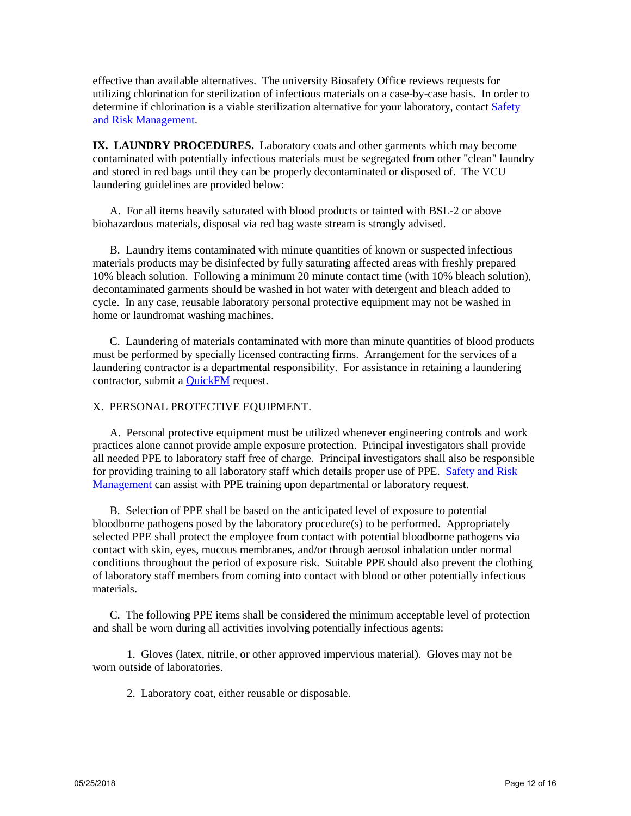effective than available alternatives. The university Biosafety Office reviews requests for utilizing chlorination for sterilization of infectious materials on a case-by-case basis. In order to determine if chlorination is a viable sterilization alternative for your laboratory, contact [Safety](https://srm.vcu.edu/)  [and Risk Management.](https://srm.vcu.edu/)

**IX. LAUNDRY PROCEDURES.** Laboratory coats and other garments which may become contaminated with potentially infectious materials must be segregated from other "clean" laundry and stored in red bags until they can be properly decontaminated or disposed of. The VCU laundering guidelines are provided below:

 A. For all items heavily saturated with blood products or tainted with BSL-2 or above biohazardous materials, disposal via red bag waste stream is strongly advised.

 B. Laundry items contaminated with minute quantities of known or suspected infectious materials products may be disinfected by fully saturating affected areas with freshly prepared 10% bleach solution. Following a minimum 20 minute contact time (with 10% bleach solution), decontaminated garments should be washed in hot water with detergent and bleach added to cycle. In any case, reusable laboratory personal protective equipment may not be washed in home or laundromat washing machines.

 C. Laundering of materials contaminated with more than minute quantities of blood products must be performed by specially licensed contracting firms. Arrangement for the services of a laundering contractor is a departmental responsibility. For assistance in retaining a laundering contractor, submit a [QuickFM](https://quikfm.vcu.edu/) request.

### X. PERSONAL PROTECTIVE EQUIPMENT.

 A. Personal protective equipment must be utilized whenever engineering controls and work practices alone cannot provide ample exposure protection. Principal investigators shall provide all needed PPE to laboratory staff free of charge. Principal investigators shall also be responsible for providing training to all laboratory staff which details proper use of PPE. [Safety and Risk](https://srm.vcu.edu/)  [Management](https://srm.vcu.edu/) can assist with PPE training upon departmental or laboratory request.

 B. Selection of PPE shall be based on the anticipated level of exposure to potential bloodborne pathogens posed by the laboratory procedure(s) to be performed. Appropriately selected PPE shall protect the employee from contact with potential bloodborne pathogens via contact with skin, eyes, mucous membranes, and/or through aerosol inhalation under normal conditions throughout the period of exposure risk. Suitable PPE should also prevent the clothing of laboratory staff members from coming into contact with blood or other potentially infectious materials.

 C. The following PPE items shall be considered the minimum acceptable level of protection and shall be worn during all activities involving potentially infectious agents:

 1. Gloves (latex, nitrile, or other approved impervious material). Gloves may not be worn outside of laboratories.

2. Laboratory coat, either reusable or disposable.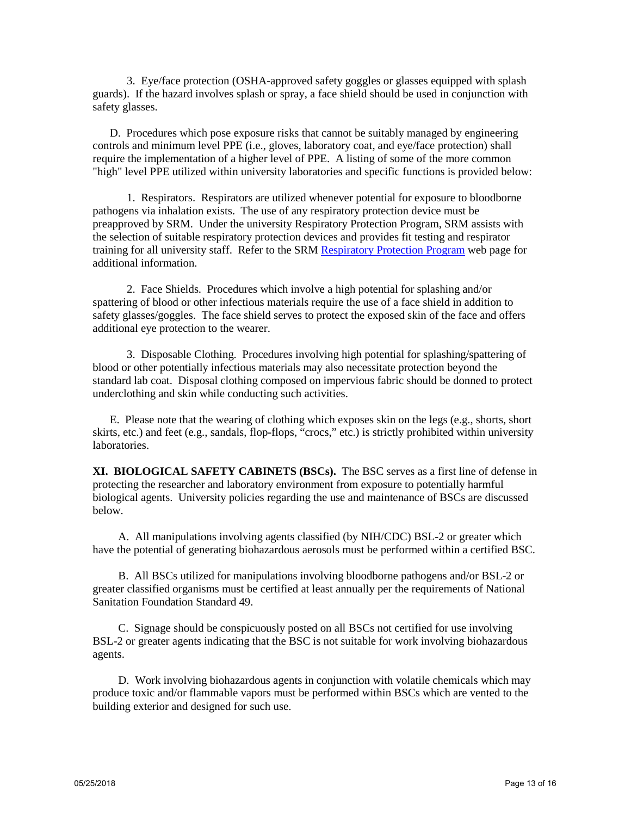3. Eye/face protection (OSHA-approved safety goggles or glasses equipped with splash guards). If the hazard involves splash or spray, a face shield should be used in conjunction with safety glasses.

 D. Procedures which pose exposure risks that cannot be suitably managed by engineering controls and minimum level PPE (i.e., gloves, laboratory coat, and eye/face protection) shall require the implementation of a higher level of PPE. A listing of some of the more common "high" level PPE utilized within university laboratories and specific functions is provided below:

 1. Respirators. Respirators are utilized whenever potential for exposure to bloodborne pathogens via inhalation exists. The use of any respiratory protection device must be preapproved by SRM. Under the university Respiratory Protection Program, SRM assists with the selection of suitable respiratory protection devices and provides fit testing and respirator training for all university staff. Refer to the SRM [Respiratory Protection Program w](https://srm.vcu.edu/media/safety-amp-risk-management/assets/industrial-hygiene/VCU%20Respiratory%20Protection%20Program.pdf)eb page for additional information.

 2. Face Shields. Procedures which involve a high potential for splashing and/or spattering of blood or other infectious materials require the use of a face shield in addition to safety glasses/goggles. The face shield serves to protect the exposed skin of the face and offers additional eye protection to the wearer.

 3. Disposable Clothing. Procedures involving high potential for splashing/spattering of blood or other potentially infectious materials may also necessitate protection beyond the standard lab coat. Disposal clothing composed on impervious fabric should be donned to protect underclothing and skin while conducting such activities.

 E. Please note that the wearing of clothing which exposes skin on the legs (e.g., shorts, short skirts, etc.) and feet (e.g., sandals, flop-flops, "crocs," etc.) is strictly prohibited within university laboratories.

**XI. BIOLOGICAL SAFETY CABINETS (BSCs).** The BSC serves as a first line of defense in protecting the researcher and laboratory environment from exposure to potentially harmful biological agents. University policies regarding the use and maintenance of BSCs are discussed below.

 A. All manipulations involving agents classified (by NIH/CDC) BSL-2 or greater which have the potential of generating biohazardous aerosols must be performed within a certified BSC.

 B. All BSCs utilized for manipulations involving bloodborne pathogens and/or BSL-2 or greater classified organisms must be certified at least annually per the requirements of National Sanitation Foundation Standard 49.

 C. Signage should be conspicuously posted on all BSCs not certified for use involving BSL-2 or greater agents indicating that the BSC is not suitable for work involving biohazardous agents.

 D. Work involving biohazardous agents in conjunction with volatile chemicals which may produce toxic and/or flammable vapors must be performed within BSCs which are vented to the building exterior and designed for such use.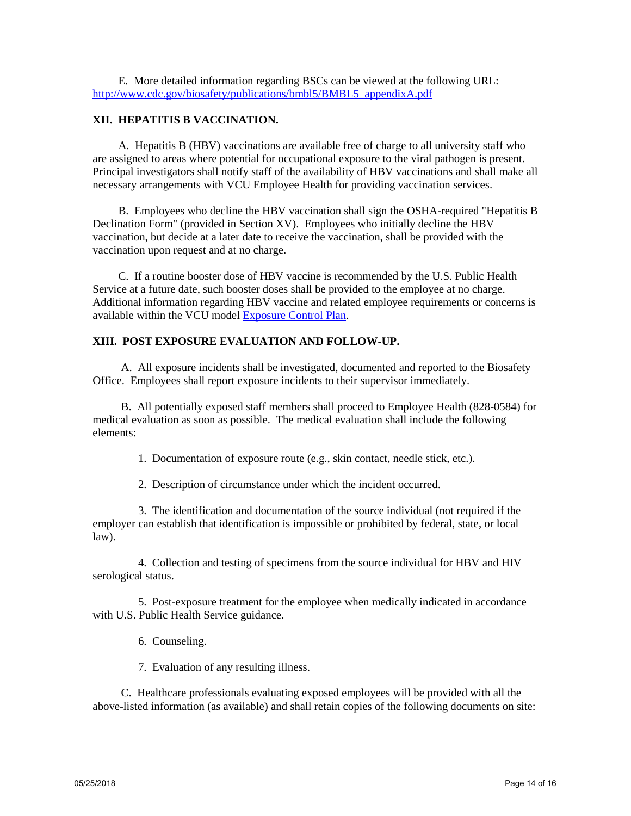E. More detailed information regarding BSCs can be viewed at the following URL: [http://www.cdc.gov/biosafety/publications/bmbl5/BMBL5\\_appendixA.pdf](http://www.cdc.gov/biosafety/publications/bmbl5/BMBL5_appendixA.pdf)

# **XII. HEPATITIS B VACCINATION.**

 A. Hepatitis B (HBV) vaccinations are available free of charge to all university staff who are assigned to areas where potential for occupational exposure to the viral pathogen is present. Principal investigators shall notify staff of the availability of HBV vaccinations and shall make all necessary arrangements with VCU Employee Health for providing vaccination services.

 B. Employees who decline the HBV vaccination shall sign the OSHA-required "Hepatitis B Declination Form" (provided in Section XV). Employees who initially decline the HBV vaccination, but decide at a later date to receive the vaccination, shall be provided with the vaccination upon request and at no charge.

 C. If a routine booster dose of HBV vaccine is recommended by the U.S. Public Health Service at a future date, such booster doses shall be provided to the employee at no charge. Additional information regarding HBV vaccine and related employee requirements or concerns is available within the VCU model [Exposure Control Plan.](https://srm.vcu.edu/media/safety-amp-risk-management/assets/biological-safety/ECP%20032618.pdf)

## **XIII. POST EXPOSURE EVALUATION AND FOLLOW-UP.**

 A. All exposure incidents shall be investigated, documented and reported to the Biosafety Office. Employees shall report exposure incidents to their supervisor immediately.

 B. All potentially exposed staff members shall proceed to Employee Health (828-0584) for medical evaluation as soon as possible. The medical evaluation shall include the following elements:

1. Documentation of exposure route (e.g., skin contact, needle stick, etc.).

2. Description of circumstance under which the incident occurred.

 3. The identification and documentation of the source individual (not required if the employer can establish that identification is impossible or prohibited by federal, state, or local law).

 4. Collection and testing of specimens from the source individual for HBV and HIV serological status.

 5. Post-exposure treatment for the employee when medically indicated in accordance with U.S. Public Health Service guidance.

6. Counseling.

7. Evaluation of any resulting illness.

 C. Healthcare professionals evaluating exposed employees will be provided with all the above-listed information (as available) and shall retain copies of the following documents on site: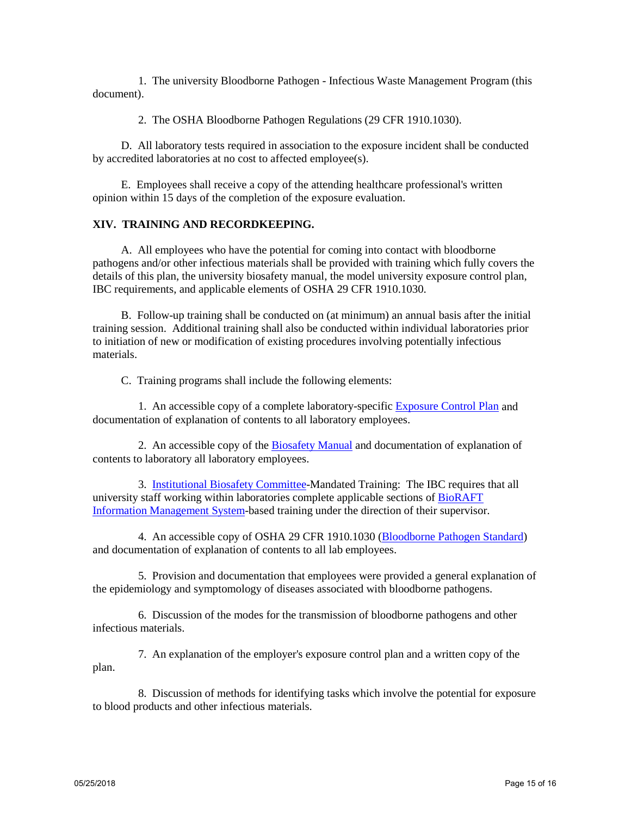1. The university Bloodborne Pathogen - Infectious Waste Management Program (this document).

2. The OSHA Bloodborne Pathogen Regulations (29 CFR 1910.1030).

D. All laboratory tests required in association to the exposure incident shall be conducted by accredited laboratories at no cost to affected employee(s).

E. Employees shall receive a copy of the attending healthcare professional's written opinion within 15 days of the completion of the exposure evaluation.

#### **XIV. TRAINING AND RECORDKEEPING.**

A. All employees who have the potential for coming into contact with bloodborne pathogens and/or other infectious materials shall be provided with training which fully covers the details of this plan, the university biosafety manual, the model university exposure control plan, IBC requirements, and applicable elements of OSHA 29 CFR 1910.1030.

B. Follow-up training shall be conducted on (at minimum) an annual basis after the initial training session. Additional training shall also be conducted within individual laboratories prior to initiation of new or modification of existing procedures involving potentially infectious materials.

C. Training programs shall include the following elements:

1. An accessible copy of a complete laboratory-specific [Exposure Control Plan](https://srm.vcu.edu/media/safety-amp-risk-management/assets/biological-safety/ECP%20032618.pdf) and documentation of explanation of contents to all laboratory employees.

2. An accessible copy of the [Biosafety Manual](https://srm.vcu.edu/media/safety-amp-risk-management/assets/biological-safety/Biosafety%20Manual.pdf) and documentation of explanation of contents to laboratory all laboratory employees.

3. [Institutional Biosafety Committee-](https://research.vcu.edu/ibc/index.htm)Mandated Training: The IBC requires that all university staff working within laboratories complete applicable sections of [BioRAFT](http://www.vcu.edu/oehs/chemical/training/trainingmodules.pdf)  [Information Management System-](http://www.vcu.edu/oehs/chemical/training/trainingmodules.pdf)based training under the direction of their supervisor.

4. An accessible copy of OSHA 29 CFR 1910.1030 [\(Bloodborne Pathogen Standard\)](http://www.osha.gov/pls/oshaweb/owadisp.show_document?p_table=STANDARDS&p_id=10051) and documentation of explanation of contents to all lab employees.

5. Provision and documentation that employees were provided a general explanation of the epidemiology and symptomology of diseases associated with bloodborne pathogens.

6. Discussion of the modes for the transmission of bloodborne pathogens and other infectious materials.

7. An explanation of the employer's exposure control plan and a written copy of the plan.

8. Discussion of methods for identifying tasks which involve the potential for exposure to blood products and other infectious materials.